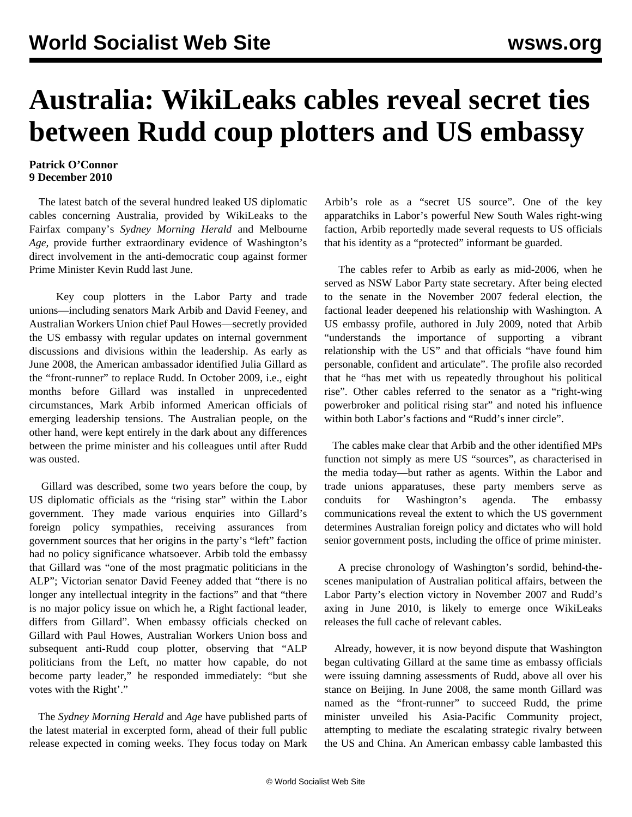## **Australia: WikiLeaks cables reveal secret ties between Rudd coup plotters and US embassy**

## **Patrick O'Connor 9 December 2010**

 The latest batch of the several hundred leaked US diplomatic cables concerning Australia, provided by WikiLeaks to the Fairfax company's *Sydney Morning Herald* and Melbourne *Age,* provide further extraordinary evidence of Washington's direct involvement in the anti-democratic coup against former Prime Minister Kevin Rudd last June.

 Key coup plotters in the Labor Party and trade unions—including senators Mark Arbib and David Feeney, and Australian Workers Union chief Paul Howes—secretly provided the US embassy with regular updates on internal government discussions and divisions within the leadership. As early as June 2008, the American ambassador identified Julia Gillard as the "front-runner" to replace Rudd. In October 2009, i.e., eight months before Gillard was installed in unprecedented circumstances, Mark Arbib informed American officials of emerging leadership tensions. The Australian people, on the other hand, were kept entirely in the dark about any differences between the prime minister and his colleagues until after Rudd was ousted.

 Gillard was described, some two years before the coup, by US diplomatic officials as the "rising star" within the Labor government. They made various enquiries into Gillard's foreign policy sympathies, receiving assurances from government sources that her origins in the party's "left" faction had no policy significance whatsoever. Arbib told the embassy that Gillard was "one of the most pragmatic politicians in the ALP"; Victorian senator David Feeney added that "there is no longer any intellectual integrity in the factions" and that "there is no major policy issue on which he, a Right factional leader, differs from Gillard". When embassy officials checked on Gillard with Paul Howes, Australian Workers Union boss and subsequent anti-Rudd coup plotter, observing that "ALP politicians from the Left, no matter how capable, do not become party leader," he responded immediately: "but she votes with the Right'."

 The *Sydney Morning Herald* and *Age* have published parts of the latest material in excerpted form, ahead of their full public release expected in coming weeks. They focus today on Mark Arbib's role as a "secret US source". One of the key apparatchiks in Labor's powerful New South Wales right-wing faction, Arbib reportedly made several requests to US officials that his identity as a "protected" informant be guarded.

 The cables refer to Arbib as early as mid-2006, when he served as NSW Labor Party state secretary. After being elected to the senate in the November 2007 federal election, the factional leader deepened his relationship with Washington. A US embassy profile, authored in July 2009, noted that Arbib "understands the importance of supporting a vibrant relationship with the US" and that officials "have found him personable, confident and articulate". The profile also recorded that he "has met with us repeatedly throughout his political rise". Other cables referred to the senator as a "right-wing powerbroker and political rising star" and noted his influence within both Labor's factions and "Rudd's inner circle".

 The cables make clear that Arbib and the other identified MPs function not simply as mere US "sources", as characterised in the media today—but rather as agents. Within the Labor and trade unions apparatuses, these party members serve as conduits for Washington's agenda. The embassy communications reveal the extent to which the US government determines Australian foreign policy and dictates who will hold senior government posts, including the office of prime minister.

 A precise chronology of Washington's sordid, behind-thescenes manipulation of Australian political affairs, between the Labor Party's election victory in November 2007 and Rudd's axing in June 2010, is likely to emerge once WikiLeaks releases the full cache of relevant cables.

 Already, however, it is now beyond dispute that Washington began cultivating Gillard at the same time as embassy officials were issuing damning assessments of Rudd, above all over his stance on Beijing. In June 2008, the same month Gillard was named as the "front-runner" to succeed Rudd, the prime minister unveiled his Asia-Pacific Community project, attempting to mediate the escalating strategic rivalry between the US and China. An American embassy cable lambasted this